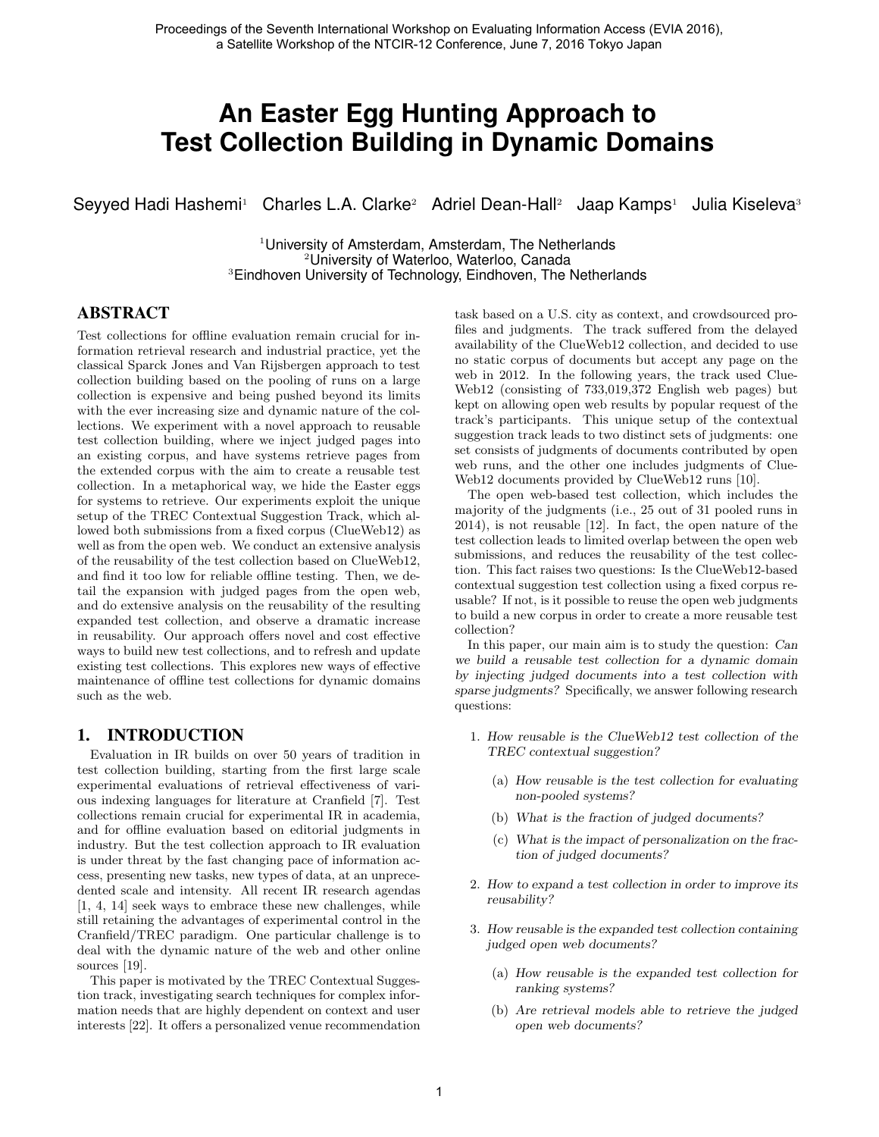# **An Easter Egg Hunting Approach to Test Collection Building in Dynamic Domains**

Seyyed Hadi Hashemi<sup>1</sup> Charles L.A. Clarke<sup>2</sup> Adriel Dean-Hall<sup>2</sup> Jaap Kamps<sup>1</sup> Julia Kiseleva<sup>3</sup>

<sup>1</sup> University of Amsterdam, Amsterdam, The Netherlands <sup>2</sup>University of Waterloo, Waterloo, Canada <sup>3</sup>Eindhoven University of Technology, Eindhoven, The Netherlands

## ABSTRACT

Test collections for offline evaluation remain crucial for information retrieval research and industrial practice, yet the classical Sparck Jones and Van Rijsbergen approach to test collection building based on the pooling of runs on a large collection is expensive and being pushed beyond its limits with the ever increasing size and dynamic nature of the collections. We experiment with a novel approach to reusable test collection building, where we inject judged pages into an existing corpus, and have systems retrieve pages from the extended corpus with the aim to create a reusable test collection. In a metaphorical way, we hide the Easter eggs for systems to retrieve. Our experiments exploit the unique setup of the TREC Contextual Suggestion Track, which allowed both submissions from a fixed corpus (ClueWeb12) as well as from the open web. We conduct an extensive analysis of the reusability of the test collection based on ClueWeb12, and find it too low for reliable offline testing. Then, we detail the expansion with judged pages from the open web, and do extensive analysis on the reusability of the resulting expanded test collection, and observe a dramatic increase in reusability. Our approach offers novel and cost effective ways to build new test collections, and to refresh and update existing test collections. This explores new ways of effective maintenance of offline test collections for dynamic domains such as the web.

## 1. INTRODUCTION

Evaluation in IR builds on over 50 years of tradition in test collection building, starting from the first large scale experimental evaluations of retrieval effectiveness of various indexing languages for literature at Cranfield [7]. Test collections remain crucial for experimental IR in academia, and for offline evaluation based on editorial judgments in industry. But the test collection approach to IR evaluation is under threat by the fast changing pace of information access, presenting new tasks, new types of data, at an unprecedented scale and intensity. All recent IR research agendas [1, 4, 14] seek ways to embrace these new challenges, while still retaining the advantages of experimental control in the Cranfield/TREC paradigm. One particular challenge is to deal with the dynamic nature of the web and other online sources [19].

This paper is motivated by the TREC Contextual Suggestion track, investigating search techniques for complex information needs that are highly dependent on context and user interests [22]. It offers a personalized venue recommendation task based on a U.S. city as context, and crowdsourced profiles and judgments. The track suffered from the delayed availability of the ClueWeb12 collection, and decided to use no static corpus of documents but accept any page on the web in 2012. In the following years, the track used Clue-Web12 (consisting of 733,019,372 English web pages) but kept on allowing open web results by popular request of the track's participants. This unique setup of the contextual suggestion track leads to two distinct sets of judgments: one set consists of judgments of documents contributed by open web runs, and the other one includes judgments of Clue-Web12 documents provided by ClueWeb12 runs [10].

The open web-based test collection, which includes the majority of the judgments (i.e., 25 out of 31 pooled runs in 2014), is not reusable [12]. In fact, the open nature of the test collection leads to limited overlap between the open web submissions, and reduces the reusability of the test collection. This fact raises two questions: Is the ClueWeb12-based contextual suggestion test collection using a fixed corpus reusable? If not, is it possible to reuse the open web judgments to build a new corpus in order to create a more reusable test collection?

In this paper, our main aim is to study the question: Can we build a reusable test collection for a dynamic domain by injecting judged documents into a test collection with sparse judgments? Specifically, we answer following research questions:

- 1. How reusable is the ClueWeb12 test collection of the TREC contextual suggestion?
	- (a) How reusable is the test collection for evaluating non-pooled systems?
	- (b) What is the fraction of judged documents?
	- (c) What is the impact of personalization on the fraction of judged documents?
- 2. How to expand a test collection in order to improve its reusability?
- 3. How reusable is the expanded test collection containing judged open web documents?
	- (a) How reusable is the expanded test collection for ranking systems?
	- (b) Are retrieval models able to retrieve the judged open web documents?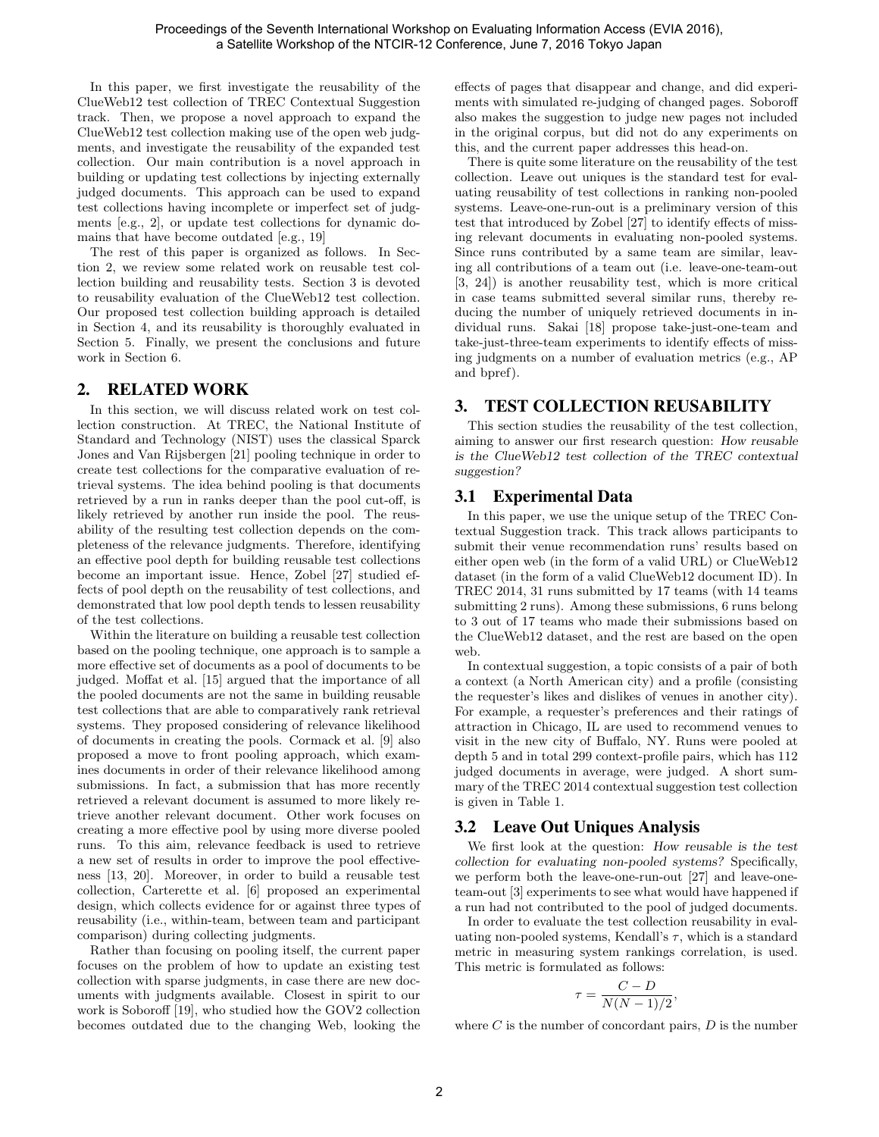In this paper, we first investigate the reusability of the ClueWeb12 test collection of TREC Contextual Suggestion track. Then, we propose a novel approach to expand the ClueWeb12 test collection making use of the open web judgments, and investigate the reusability of the expanded test collection. Our main contribution is a novel approach in building or updating test collections by injecting externally judged documents. This approach can be used to expand test collections having incomplete or imperfect set of judgments [e.g., 2], or update test collections for dynamic domains that have become outdated [e.g., 19]

The rest of this paper is organized as follows. In Section 2, we review some related work on reusable test collection building and reusability tests. Section 3 is devoted to reusability evaluation of the ClueWeb12 test collection. Our proposed test collection building approach is detailed in Section 4, and its reusability is thoroughly evaluated in Section 5. Finally, we present the conclusions and future work in Section 6.

## 2. RELATED WORK

In this section, we will discuss related work on test collection construction. At TREC, the National Institute of Standard and Technology (NIST) uses the classical Sparck Jones and Van Rijsbergen [21] pooling technique in order to create test collections for the comparative evaluation of retrieval systems. The idea behind pooling is that documents retrieved by a run in ranks deeper than the pool cut-off, is likely retrieved by another run inside the pool. The reusability of the resulting test collection depends on the completeness of the relevance judgments. Therefore, identifying an effective pool depth for building reusable test collections become an important issue. Hence, Zobel [27] studied effects of pool depth on the reusability of test collections, and demonstrated that low pool depth tends to lessen reusability of the test collections.

Within the literature on building a reusable test collection based on the pooling technique, one approach is to sample a more effective set of documents as a pool of documents to be judged. Moffat et al. [15] argued that the importance of all the pooled documents are not the same in building reusable test collections that are able to comparatively rank retrieval systems. They proposed considering of relevance likelihood of documents in creating the pools. Cormack et al. [9] also proposed a move to front pooling approach, which examines documents in order of their relevance likelihood among submissions. In fact, a submission that has more recently retrieved a relevant document is assumed to more likely retrieve another relevant document. Other work focuses on creating a more effective pool by using more diverse pooled runs. To this aim, relevance feedback is used to retrieve a new set of results in order to improve the pool effectiveness [13, 20]. Moreover, in order to build a reusable test collection, Carterette et al. [6] proposed an experimental design, which collects evidence for or against three types of reusability (i.e., within-team, between team and participant comparison) during collecting judgments.

Rather than focusing on pooling itself, the current paper focuses on the problem of how to update an existing test collection with sparse judgments, in case there are new documents with judgments available. Closest in spirit to our work is Soboroff [19], who studied how the GOV2 collection becomes outdated due to the changing Web, looking the effects of pages that disappear and change, and did experiments with simulated re-judging of changed pages. Soboroff also makes the suggestion to judge new pages not included in the original corpus, but did not do any experiments on this, and the current paper addresses this head-on.

There is quite some literature on the reusability of the test collection. Leave out uniques is the standard test for evaluating reusability of test collections in ranking non-pooled systems. Leave-one-run-out is a preliminary version of this test that introduced by Zobel [27] to identify effects of missing relevant documents in evaluating non-pooled systems. Since runs contributed by a same team are similar, leaving all contributions of a team out (i.e. leave-one-team-out [3, 24]) is another reusability test, which is more critical in case teams submitted several similar runs, thereby reducing the number of uniquely retrieved documents in individual runs. Sakai [18] propose take-just-one-team and take-just-three-team experiments to identify effects of missing judgments on a number of evaluation metrics (e.g., AP and bpref).

# 3. TEST COLLECTION REUSABILITY

This section studies the reusability of the test collection, aiming to answer our first research question: How reusable is the ClueWeb12 test collection of the TREC contextual suggestion?

# 3.1 Experimental Data

In this paper, we use the unique setup of the TREC Contextual Suggestion track. This track allows participants to submit their venue recommendation runs' results based on either open web (in the form of a valid URL) or ClueWeb12 dataset (in the form of a valid ClueWeb12 document ID). In TREC 2014, 31 runs submitted by 17 teams (with 14 teams submitting 2 runs). Among these submissions, 6 runs belong to 3 out of 17 teams who made their submissions based on the ClueWeb12 dataset, and the rest are based on the open web.

In contextual suggestion, a topic consists of a pair of both a context (a North American city) and a profile (consisting the requester's likes and dislikes of venues in another city). For example, a requester's preferences and their ratings of attraction in Chicago, IL are used to recommend venues to visit in the new city of Buffalo, NY. Runs were pooled at depth 5 and in total 299 context-profile pairs, which has 112 judged documents in average, were judged. A short summary of the TREC 2014 contextual suggestion test collection is given in Table 1.

# 3.2 Leave Out Uniques Analysis

We first look at the question: How reusable is the test collection for evaluating non-pooled systems? Specifically, we perform both the leave-one-run-out [27] and leave-oneteam-out [3] experiments to see what would have happened if a run had not contributed to the pool of judged documents.

In order to evaluate the test collection reusability in evaluating non-pooled systems, Kendall's  $\tau$ , which is a standard metric in measuring system rankings correlation, is used. This metric is formulated as follows:

$$
\tau = \frac{C - D}{N(N - 1)/2},
$$

where  $C$  is the number of concordant pairs,  $D$  is the number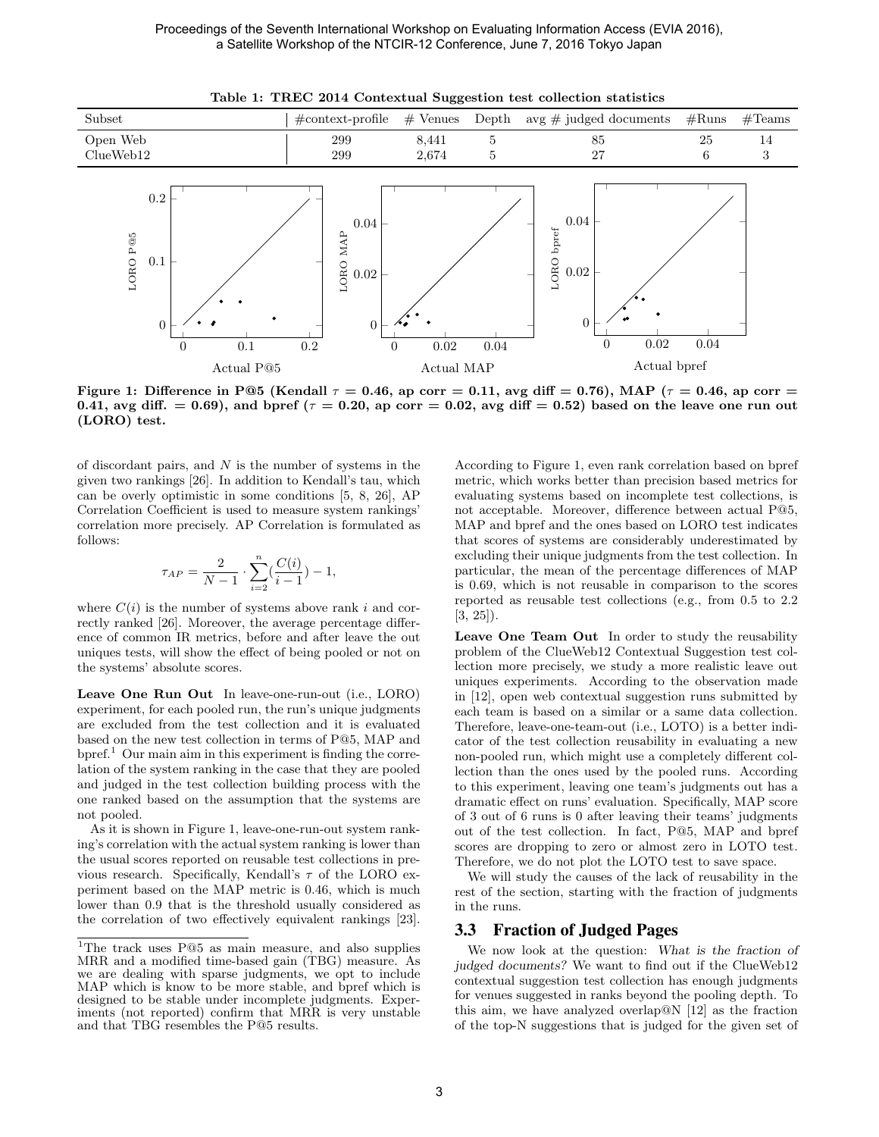

Table 1: TREC 2014 Contextual Suggestion test collection statistics

Figure 1: Difference in P@5 (Kendall  $\tau = 0.46$ , ap corr = 0.11, avg diff = 0.76), MAP ( $\tau = 0.46$ , ap corr = 0.41, avg diff.  $= 0.69$ , and bpref ( $\tau = 0.20$ , ap corr  $= 0.02$ , avg diff  $= 0.52$ ) based on the leave one run out (LORO) test.

of discordant pairs, and  $N$  is the number of systems in the given two rankings [26]. In addition to Kendall's tau, which can be overly optimistic in some conditions [5, 8, 26], AP Correlation Coefficient is used to measure system rankings' correlation more precisely. AP Correlation is formulated as follows:

$$
\tau_{AP} = \frac{2}{N-1} \cdot \sum_{i=2}^{n} \left(\frac{C(i)}{i-1}\right) - 1,
$$

where  $C(i)$  is the number of systems above rank i and correctly ranked [26]. Moreover, the average percentage difference of common IR metrics, before and after leave the out uniques tests, will show the effect of being pooled or not on the systems' absolute scores.

Leave One Run Out In leave-one-run-out (i.e., LORO) experiment, for each pooled run, the run's unique judgments are excluded from the test collection and it is evaluated based on the new test collection in terms of P@5, MAP and  $b$ pref.<sup>1</sup> Our main aim in this experiment is finding the correlation of the system ranking in the case that they are pooled and judged in the test collection building process with the one ranked based on the assumption that the systems are not pooled.

As it is shown in Figure 1, leave-one-run-out system ranking's correlation with the actual system ranking is lower than the usual scores reported on reusable test collections in previous research. Specifically, Kendall's  $\tau$  of the LORO experiment based on the MAP metric is 0.46, which is much lower than 0.9 that is the threshold usually considered as the correlation of two effectively equivalent rankings [23]. According to Figure 1, even rank correlation based on bpref metric, which works better than precision based metrics for evaluating systems based on incomplete test collections, is not acceptable. Moreover, difference between actual P@5, MAP and bpref and the ones based on LORO test indicates that scores of systems are considerably underestimated by excluding their unique judgments from the test collection. In particular, the mean of the percentage differences of MAP is 0.69, which is not reusable in comparison to the scores reported as reusable test collections (e.g., from 0.5 to 2.2  $[3, 25]$ .

Leave One Team Out In order to study the reusability problem of the ClueWeb12 Contextual Suggestion test collection more precisely, we study a more realistic leave out uniques experiments. According to the observation made in [12], open web contextual suggestion runs submitted by each team is based on a similar or a same data collection. Therefore, leave-one-team-out (i.e., LOTO) is a better indicator of the test collection reusability in evaluating a new non-pooled run, which might use a completely different collection than the ones used by the pooled runs. According to this experiment, leaving one team's judgments out has a dramatic effect on runs' evaluation. Specifically, MAP score of 3 out of 6 runs is 0 after leaving their teams' judgments out of the test collection. In fact, P@5, MAP and bpref scores are dropping to zero or almost zero in LOTO test. Therefore, we do not plot the LOTO test to save space.

We will study the causes of the lack of reusability in the rest of the section, starting with the fraction of judgments in the runs.

#### 3.3 Fraction of Judged Pages

We now look at the question: What is the fraction of judged documents? We want to find out if the ClueWeb12 contextual suggestion test collection has enough judgments for venues suggested in ranks beyond the pooling depth. To this aim, we have analyzed overlap@N [12] as the fraction of the top-N suggestions that is judged for the given set of

<sup>&</sup>lt;sup>1</sup>The track uses P@5 as main measure, and also supplies MRR and a modified time-based gain (TBG) measure. As we are dealing with sparse judgments, we opt to include MAP which is know to be more stable, and bpref which is designed to be stable under incomplete judgments. Experiments (not reported) confirm that MRR is very unstable and that TBG resembles the P@5 results.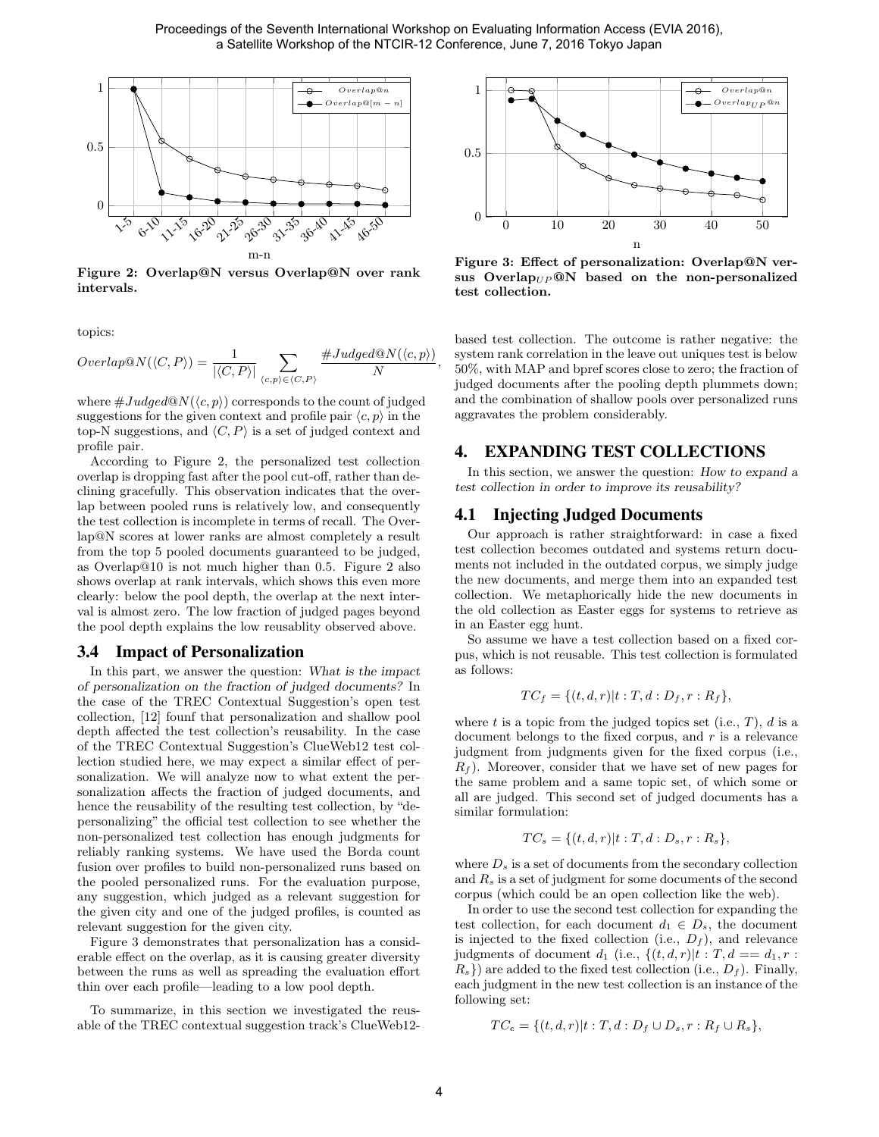,



Figure 2: Overlap@N versus Overlap@N over rank intervals.

topics:

$$
Overlap@N(\langle C, P \rangle) = \frac{1}{|\langle C, P \rangle|} \sum_{\langle c, p \rangle \in \langle C, P \rangle} \frac{\#Judge d@N(\langle c, p \rangle)}{N}
$$

where  $\#Judged@N(\langle c, p \rangle)$  corresponds to the count of judged suggestions for the given context and profile pair  $\langle c, p \rangle$  in the top-N suggestions, and  $\langle C, P \rangle$  is a set of judged context and profile pair.

According to Figure 2, the personalized test collection overlap is dropping fast after the pool cut-off, rather than declining gracefully. This observation indicates that the overlap between pooled runs is relatively low, and consequently the test collection is incomplete in terms of recall. The Overlap@N scores at lower ranks are almost completely a result from the top 5 pooled documents guaranteed to be judged, as Overlap@10 is not much higher than 0.5. Figure 2 also shows overlap at rank intervals, which shows this even more clearly: below the pool depth, the overlap at the next interval is almost zero. The low fraction of judged pages beyond the pool depth explains the low reusablity observed above.

#### 3.4 Impact of Personalization

In this part, we answer the question: What is the impact of personalization on the fraction of judged documents? In the case of the TREC Contextual Suggestion's open test collection, [12] founf that personalization and shallow pool depth affected the test collection's reusability. In the case of the TREC Contextual Suggestion's ClueWeb12 test collection studied here, we may expect a similar effect of personalization. We will analyze now to what extent the personalization affects the fraction of judged documents, and hence the reusability of the resulting test collection, by "depersonalizing" the official test collection to see whether the non-personalized test collection has enough judgments for reliably ranking systems. We have used the Borda count fusion over profiles to build non-personalized runs based on the pooled personalized runs. For the evaluation purpose, any suggestion, which judged as a relevant suggestion for the given city and one of the judged profiles, is counted as relevant suggestion for the given city.

Figure 3 demonstrates that personalization has a considerable effect on the overlap, as it is causing greater diversity between the runs as well as spreading the evaluation effort thin over each profile—leading to a low pool depth.

To summarize, in this section we investigated the reusable of the TREC contextual suggestion track's ClueWeb12-



Figure 3: Effect of personalization: Overlap@N versus Overlap $U_P @N$  based on the non-personalized test collection.

based test collection. The outcome is rather negative: the system rank correlation in the leave out uniques test is below 50%, with MAP and bpref scores close to zero; the fraction of judged documents after the pooling depth plummets down; and the combination of shallow pools over personalized runs aggravates the problem considerably.

### 4. EXPANDING TEST COLLECTIONS

In this section, we answer the question: How to expand a test collection in order to improve its reusability?

#### 4.1 Injecting Judged Documents

Our approach is rather straightforward: in case a fixed test collection becomes outdated and systems return documents not included in the outdated corpus, we simply judge the new documents, and merge them into an expanded test collection. We metaphorically hide the new documents in the old collection as Easter eggs for systems to retrieve as in an Easter egg hunt.

So assume we have a test collection based on a fixed corpus, which is not reusable. This test collection is formulated as follows:

$$
TC_f = \{(t, d, r)| t : T, d : D_f, r : R_f\},\
$$

where t is a topic from the judged topics set (i.e.,  $T$ ),  $d$  is a document belongs to the fixed corpus, and  $r$  is a relevance judgment from judgments given for the fixed corpus (i.e.,  $R_f$ ). Moreover, consider that we have set of new pages for the same problem and a same topic set, of which some or all are judged. This second set of judged documents has a similar formulation:

$$
TC_s = \{(t, d, r) | t : T, d : D_s, r : R_s\},\
$$

where  $D_s$  is a set of documents from the secondary collection and  $R_s$  is a set of judgment for some documents of the second corpus (which could be an open collection like the web).

In order to use the second test collection for expanding the test collection, for each document  $d_1 \in D_s$ , the document is injected to the fixed collection (i.e.,  $D_f$ ), and relevance judgments of document  $d_1$  (i.e.,  $\{(t, d, r)|t : T, d == d_1, r :$  $R_s$ }) are added to the fixed test collection (i.e.,  $D_f$ ). Finally, each judgment in the new test collection is an instance of the following set:

$$
TC_e = \{(t, d, r) | t : T, d : D_f \cup D_s, r : R_f \cup R_s \},
$$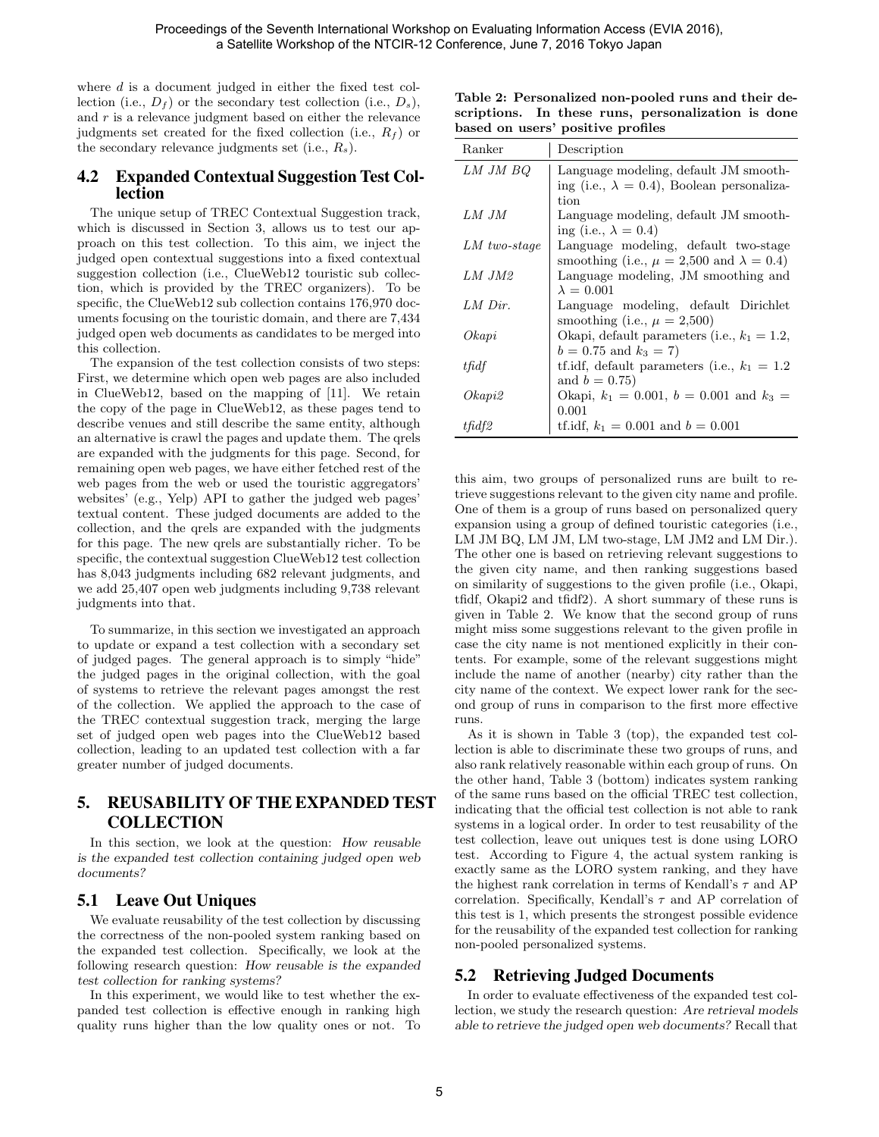where d is a document judged in either the fixed test collection (i.e.,  $D_f$ ) or the secondary test collection (i.e.,  $D_s$ ), and  $r$  is a relevance judgment based on either the relevance judgments set created for the fixed collection (i.e.,  $R_f$ ) or the secondary relevance judgments set (i.e.,  $R_s$ ).

## 4.2 Expanded Contextual Suggestion Test Collection

The unique setup of TREC Contextual Suggestion track, which is discussed in Section 3, allows us to test our approach on this test collection. To this aim, we inject the judged open contextual suggestions into a fixed contextual suggestion collection (i.e., ClueWeb12 touristic sub collection, which is provided by the TREC organizers). To be specific, the ClueWeb12 sub collection contains 176,970 documents focusing on the touristic domain, and there are 7,434 judged open web documents as candidates to be merged into this collection.

The expansion of the test collection consists of two steps: First, we determine which open web pages are also included in ClueWeb12, based on the mapping of [11]. We retain the copy of the page in ClueWeb12, as these pages tend to describe venues and still describe the same entity, although an alternative is crawl the pages and update them. The qrels are expanded with the judgments for this page. Second, for remaining open web pages, we have either fetched rest of the web pages from the web or used the touristic aggregators' websites' (e.g., Yelp) API to gather the judged web pages' textual content. These judged documents are added to the collection, and the qrels are expanded with the judgments for this page. The new qrels are substantially richer. To be specific, the contextual suggestion ClueWeb12 test collection has 8,043 judgments including 682 relevant judgments, and we add 25,407 open web judgments including 9,738 relevant judgments into that.

To summarize, in this section we investigated an approach to update or expand a test collection with a secondary set of judged pages. The general approach is to simply "hide" the judged pages in the original collection, with the goal of systems to retrieve the relevant pages amongst the rest of the collection. We applied the approach to the case of the TREC contextual suggestion track, merging the large set of judged open web pages into the ClueWeb12 based collection, leading to an updated test collection with a far greater number of judged documents.

# 5. REUSABILITY OF THE EXPANDED TEST **COLLECTION**

In this section, we look at the question: How reusable is the expanded test collection containing judged open web documents?

## 5.1 Leave Out Uniques

We evaluate reusability of the test collection by discussing the correctness of the non-pooled system ranking based on the expanded test collection. Specifically, we look at the following research question: How reusable is the expanded test collection for ranking systems?

In this experiment, we would like to test whether the expanded test collection is effective enough in ranking high quality runs higher than the low quality ones or not. To

Table 2: Personalized non-pooled runs and their descriptions. In these runs, personalization is done based on users' positive profiles

| Ranker         | Description                                          |
|----------------|------------------------------------------------------|
| LM JM BQ       | Language modeling, default JM smooth-                |
|                | ing (i.e., $\lambda = 0.4$ ), Boolean personaliza-   |
|                | tion                                                 |
| LM JM          | Language modeling, default JM smooth-                |
|                | ing (i.e., $\lambda = 0.4$ )                         |
| $LM$ two-stage | Language modeling, default two-stage                 |
|                | smoothing (i.e., $\mu = 2,500$ and $\lambda = 0.4$ ) |
| $LM$ $JM2$     | Language modeling, JM smoothing and                  |
|                | $\lambda = 0.001$                                    |
| $LM$ Dir.      | Language modeling, default Dirichlet                 |
|                | smoothing (i.e., $\mu = 2,500$ )                     |
| Okapi          | Okapi, default parameters (i.e., $k_1 = 1.2$ ,       |
|                | $b = 0.75$ and $k_3 = 7$ )                           |
| tfidf          | tf.idf, default parameters (i.e., $k_1 = 1.2$        |
|                | and $b = 0.75$ )                                     |
| Okapi2         | Okapi, $k_1 = 0.001$ , $b = 0.001$ and $k_3 =$       |
|                | 0.001                                                |
| tfidf2         | tf.idf, $k_1 = 0.001$ and $b = 0.001$                |

this aim, two groups of personalized runs are built to retrieve suggestions relevant to the given city name and profile. One of them is a group of runs based on personalized query expansion using a group of defined touristic categories (i.e., LM JM BQ, LM JM, LM two-stage, LM JM2 and LM Dir.). The other one is based on retrieving relevant suggestions to the given city name, and then ranking suggestions based on similarity of suggestions to the given profile (i.e., Okapi, tfidf, Okapi2 and tfidf2). A short summary of these runs is given in Table 2. We know that the second group of runs might miss some suggestions relevant to the given profile in case the city name is not mentioned explicitly in their contents. For example, some of the relevant suggestions might include the name of another (nearby) city rather than the city name of the context. We expect lower rank for the second group of runs in comparison to the first more effective runs.

As it is shown in Table 3 (top), the expanded test collection is able to discriminate these two groups of runs, and also rank relatively reasonable within each group of runs. On the other hand, Table 3 (bottom) indicates system ranking of the same runs based on the official TREC test collection, indicating that the official test collection is not able to rank systems in a logical order. In order to test reusability of the test collection, leave out uniques test is done using LORO test. According to Figure 4, the actual system ranking is exactly same as the LORO system ranking, and they have the highest rank correlation in terms of Kendall's  $\tau$  and AP correlation. Specifically, Kendall's  $\tau$  and AP correlation of this test is 1, which presents the strongest possible evidence for the reusability of the expanded test collection for ranking non-pooled personalized systems.

# 5.2 Retrieving Judged Documents

In order to evaluate effectiveness of the expanded test collection, we study the research question: Are retrieval models able to retrieve the judged open web documents? Recall that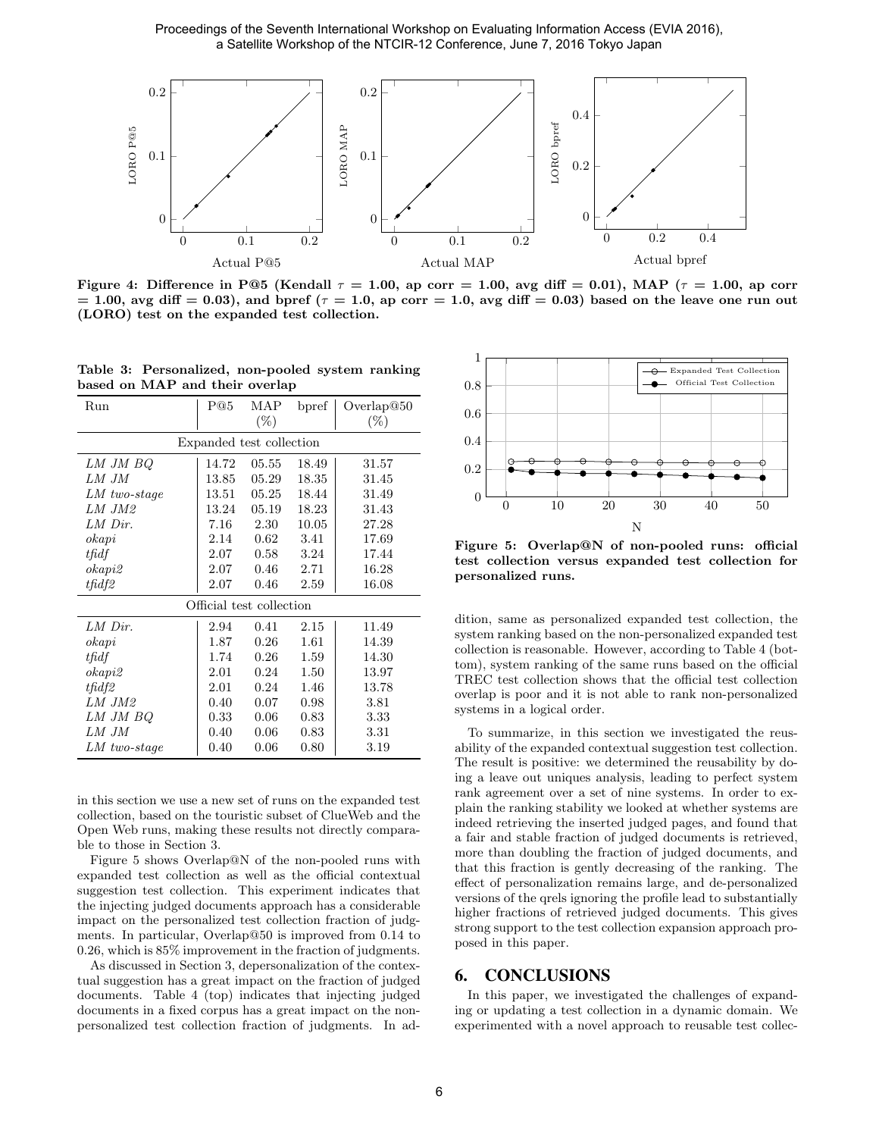Proceedings of the Seventh International Workshop on Evaluating Information Access (EVIA 2016), a Satellite Workshop of the NTCIR-12 Conference, June 7, 2016 Tokyo Japan



Figure 4: Difference in P@5 (Kendall  $\tau = 1.00$ , ap corr = 1.00, avg diff = 0.01), MAP ( $\tau = 1.00$ , ap corr  $= 1.00$ , avg diff  $= 0.03$ ), and bpref ( $\tau = 1.0$ , ap corr  $= 1.0$ , avg diff  $= 0.03$ ) based on the leave one run out (LORO) test on the expanded test collection.

|  |  | Table 3: Personalized, non-pooled system ranking |  |
|--|--|--------------------------------------------------|--|
|  |  | based on MAP and their overlap                   |  |

| Run                      | P@5   | MAP    | bpref | Overlap@50 |  |  |  |
|--------------------------|-------|--------|-------|------------|--|--|--|
|                          |       | $(\%)$ |       | $(\%)$     |  |  |  |
| Expanded test collection |       |        |       |            |  |  |  |
| LM JM BQ                 | 14.72 | 05.55  | 18.49 | 31.57      |  |  |  |
| LM JM                    | 13.85 | 05.29  | 18.35 | 31.45      |  |  |  |
| $LM$ two-stage           | 13.51 | 05.25  | 18.44 | 31.49      |  |  |  |
| LM JM2                   | 13.24 | 05.19  | 18.23 | 31.43      |  |  |  |
| LM Dir.                  | 7.16  | 2.30   | 10.05 | 27.28      |  |  |  |
| okapi                    | 2.14  | 0.62   | 3.41  | 17.69      |  |  |  |
| tfidf                    | 2.07  | 0.58   | 3.24  | 17.44      |  |  |  |
| okapi2                   | 2.07  | 0.46   | 2.71  | 16.28      |  |  |  |
| tfidf2                   | 2.07  | 0.46   | 2.59  | 16.08      |  |  |  |
| Official test collection |       |        |       |            |  |  |  |
| LM Dir.                  | 2.94  | 0.41   | 2.15  | 11.49      |  |  |  |
| okapi                    | 1.87  | 0.26   | 1.61  | 14.39      |  |  |  |
| tfidf                    | 1.74  | 0.26   | 1.59  | 14.30      |  |  |  |
| okapi2                   | 2.01  | 0.24   | 1.50  | 13.97      |  |  |  |
| tfidf2                   | 2.01  | 0.24   | 1.46  | 13.78      |  |  |  |
| $LM$ $JM2$               | 0.40  | 0.07   | 0.98  | 3.81       |  |  |  |
| LM JM BQ                 | 0.33  | 0.06   | 0.83  | 3.33       |  |  |  |
| LM JM                    | 0.40  | 0.06   | 0.83  | 3.31       |  |  |  |
| $LM$ two-stage           | 0.40  | 0.06   | 0.80  | 3.19       |  |  |  |

in this section we use a new set of runs on the expanded test collection, based on the touristic subset of ClueWeb and the Open Web runs, making these results not directly comparable to those in Section 3.

Figure 5 shows Overlap@N of the non-pooled runs with expanded test collection as well as the official contextual suggestion test collection. This experiment indicates that the injecting judged documents approach has a considerable impact on the personalized test collection fraction of judgments. In particular, Overlap@50 is improved from 0.14 to 0.26, which is 85% improvement in the fraction of judgments.

As discussed in Section 3, depersonalization of the contextual suggestion has a great impact on the fraction of judged documents. Table 4 (top) indicates that injecting judged documents in a fixed corpus has a great impact on the nonpersonalized test collection fraction of judgments. In ad-



Figure 5: Overlap@N of non-pooled runs: official test collection versus expanded test collection for personalized runs.

dition, same as personalized expanded test collection, the system ranking based on the non-personalized expanded test collection is reasonable. However, according to Table 4 (bottom), system ranking of the same runs based on the official TREC test collection shows that the official test collection overlap is poor and it is not able to rank non-personalized systems in a logical order.

To summarize, in this section we investigated the reusability of the expanded contextual suggestion test collection. The result is positive: we determined the reusability by doing a leave out uniques analysis, leading to perfect system rank agreement over a set of nine systems. In order to explain the ranking stability we looked at whether systems are indeed retrieving the inserted judged pages, and found that a fair and stable fraction of judged documents is retrieved, more than doubling the fraction of judged documents, and that this fraction is gently decreasing of the ranking. The effect of personalization remains large, and de-personalized versions of the qrels ignoring the profile lead to substantially higher fractions of retrieved judged documents. This gives strong support to the test collection expansion approach proposed in this paper.

## 6. CONCLUSIONS

In this paper, we investigated the challenges of expanding or updating a test collection in a dynamic domain. We experimented with a novel approach to reusable test collec-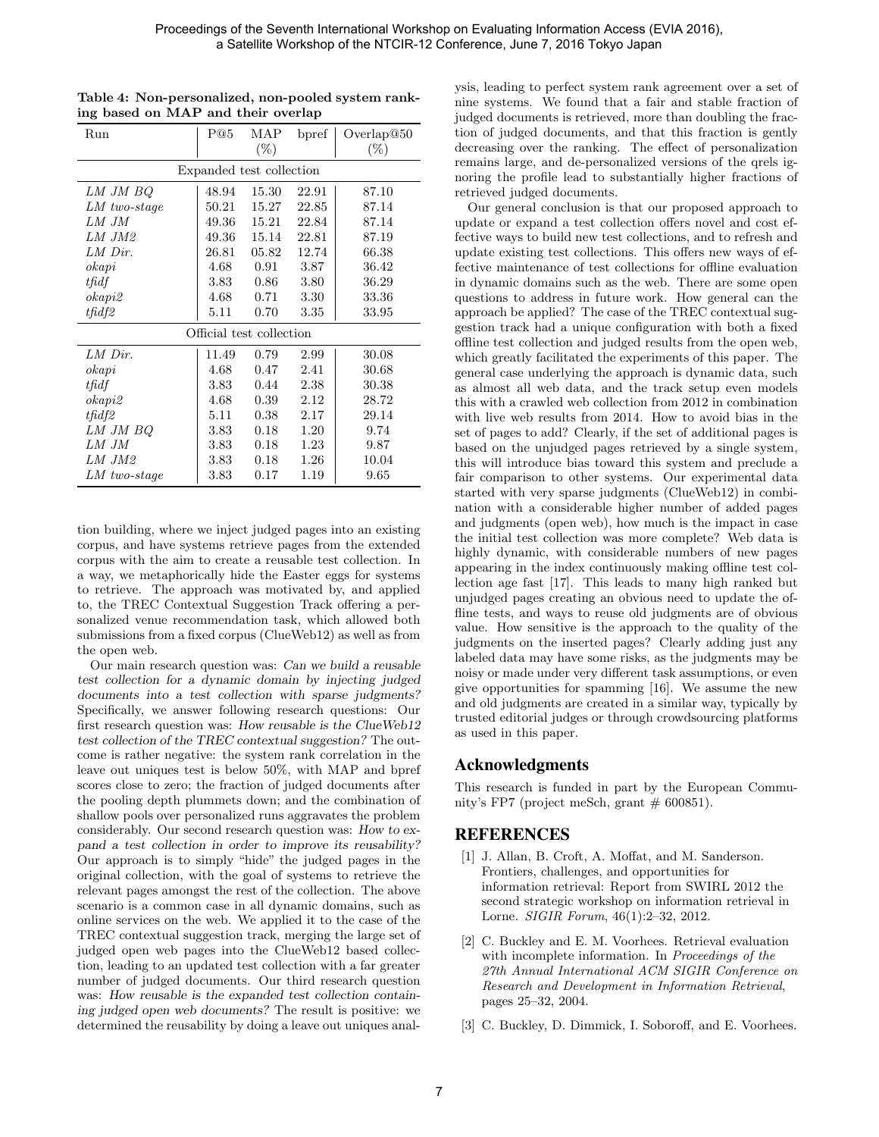| Run                      | P@5      | MAP<br>$(\%)$ | bpref | Overlap@50<br>$(\%)$ |  |  |  |
|--------------------------|----------|---------------|-------|----------------------|--|--|--|
| Expanded test collection |          |               |       |                      |  |  |  |
| LM JM BQ                 | 48.94    | 15.30         | 22.91 | 87.10                |  |  |  |
| LM two-stage             | 50.21    | 15.27         | 22.85 | 87.14                |  |  |  |
| LM JM                    | 49.36    | 15.21         | 22.84 | 87.14                |  |  |  |
| LM JM2                   | 49.36    | 15.14         | 22.81 | 87.19                |  |  |  |
| LM Dir.                  | 26.81    | 05.82         | 12.74 | 66.38                |  |  |  |
| okapi                    | 4.68     | 0.91          | 3.87  | 36.42                |  |  |  |
| tfidf                    | 3.83     | 0.86          | 3.80  | 36.29                |  |  |  |
| okapi2                   | 4.68     | 0.71          | 3.30  | 33.36                |  |  |  |
| tfidf2                   | 5.11     | 0.70          | 3.35  | 33.95                |  |  |  |
| Official test collection |          |               |       |                      |  |  |  |
| LM Dir.                  | 11.49    | 0.79          | 2.99  | 30.08                |  |  |  |
| okapi                    | 4.68     | 0.47          | 2.41  | 30.68                |  |  |  |
| tfidf                    | 3.83     | 0.44          | 2.38  | 30.38                |  |  |  |
| okapi2                   | 4.68     | 0.39          | 2.12  | 28.72                |  |  |  |
| tfidf2                   | 5.11     | 0.38          | 2.17  | 29.14                |  |  |  |
| LM JM BQ                 | 3.83     | 0.18          | 1.20  | 9.74                 |  |  |  |
| LM JM                    | 3.83     | 0.18          | 1.23  | 9.87                 |  |  |  |
| LM JM2                   | 3.83     | 0.18          | 1.26  | 10.04                |  |  |  |
| $LM$ two-stage           | $3.83\,$ | 0.17          | 1.19  | 9.65                 |  |  |  |

Table 4: Non-personalized, non-pooled system ranking based on MAP and their overlap

tion building, where we inject judged pages into an existing corpus, and have systems retrieve pages from the extended corpus with the aim to create a reusable test collection. In a way, we metaphorically hide the Easter eggs for systems to retrieve. The approach was motivated by, and applied to, the TREC Contextual Suggestion Track offering a personalized venue recommendation task, which allowed both submissions from a fixed corpus (ClueWeb12) as well as from the open web.

Our main research question was: Can we build a reusable test collection for a dynamic domain by injecting judged documents into a test collection with sparse judgments? Specifically, we answer following research questions: Our first research question was: How reusable is the ClueWeb12 test collection of the TREC contextual suggestion? The outcome is rather negative: the system rank correlation in the leave out uniques test is below 50%, with MAP and bpref scores close to zero; the fraction of judged documents after the pooling depth plummets down; and the combination of shallow pools over personalized runs aggravates the problem considerably. Our second research question was: How to expand a test collection in order to improve its reusability? Our approach is to simply "hide" the judged pages in the original collection, with the goal of systems to retrieve the relevant pages amongst the rest of the collection. The above scenario is a common case in all dynamic domains, such as online services on the web. We applied it to the case of the TREC contextual suggestion track, merging the large set of judged open web pages into the ClueWeb12 based collection, leading to an updated test collection with a far greater number of judged documents. Our third research question was: How reusable is the expanded test collection containing judged open web documents? The result is positive: we determined the reusability by doing a leave out uniques analysis, leading to perfect system rank agreement over a set of nine systems. We found that a fair and stable fraction of judged documents is retrieved, more than doubling the fraction of judged documents, and that this fraction is gently decreasing over the ranking. The effect of personalization remains large, and de-personalized versions of the qrels ignoring the profile lead to substantially higher fractions of retrieved judged documents.

Our general conclusion is that our proposed approach to update or expand a test collection offers novel and cost effective ways to build new test collections, and to refresh and update existing test collections. This offers new ways of effective maintenance of test collections for offline evaluation in dynamic domains such as the web. There are some open questions to address in future work. How general can the approach be applied? The case of the TREC contextual suggestion track had a unique configuration with both a fixed offline test collection and judged results from the open web, which greatly facilitated the experiments of this paper. The general case underlying the approach is dynamic data, such as almost all web data, and the track setup even models this with a crawled web collection from 2012 in combination with live web results from 2014. How to avoid bias in the set of pages to add? Clearly, if the set of additional pages is based on the unjudged pages retrieved by a single system, this will introduce bias toward this system and preclude a fair comparison to other systems. Our experimental data started with very sparse judgments (ClueWeb12) in combination with a considerable higher number of added pages and judgments (open web), how much is the impact in case the initial test collection was more complete? Web data is highly dynamic, with considerable numbers of new pages appearing in the index continuously making offline test collection age fast [17]. This leads to many high ranked but unjudged pages creating an obvious need to update the offline tests, and ways to reuse old judgments are of obvious value. How sensitive is the approach to the quality of the judgments on the inserted pages? Clearly adding just any labeled data may have some risks, as the judgments may be noisy or made under very different task assumptions, or even give opportunities for spamming [16]. We assume the new and old judgments are created in a similar way, typically by trusted editorial judges or through crowdsourcing platforms as used in this paper.

## Acknowledgments

This research is funded in part by the European Community's FP7 (project meSch, grant  $# 600851$ ).

## REFERENCES

- [1] J. Allan, B. Croft, A. Moffat, and M. Sanderson. Frontiers, challenges, and opportunities for information retrieval: Report from SWIRL 2012 the second strategic workshop on information retrieval in Lorne. SIGIR Forum, 46(1):2–32, 2012.
- [2] C. Buckley and E. M. Voorhees. Retrieval evaluation with incomplete information. In Proceedings of the 27th Annual International ACM SIGIR Conference on Research and Development in Information Retrieval, pages 25–32, 2004.
- [3] C. Buckley, D. Dimmick, I. Soboroff, and E. Voorhees.